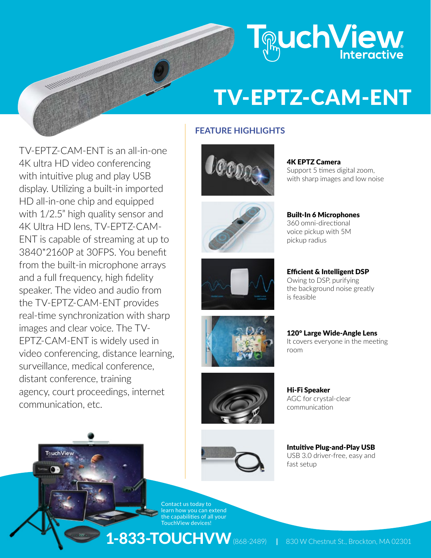

# TV-EPTZ-CAM-ENT

# **FEATURE HIGHLIGHTS**

TV-EPTZ-CAM-ENT is an all-in-one 4K ultra HD video conferencing with intuitive plug and play USB display. Utilizing a built-in imported HD all-in-one chip and equipped with 1/2.5" high quality sensor and 4K Ultra HD lens, TV-EPTZ-CAM-ENT is capable of streaming at up to 3840\*2160P at 30FPS. You benefit from the built-in microphone arrays and a full frequency, high fidelity speaker. The video and audio from the TV-EPTZ-CAM-ENT provides real-time synchronization with sharp images and clear voice. The TV-EPTZ-CAM-ENT is widely used in video conferencing, distance learning, surveillance, medical conference, distant conference, training agency, court proceedings, internet communication, etc.

Touch View

Ammune













4K EPTZ Camera Support 5 times digital zoom, with sharp images and low noise

Built-In 6 Microphones 360 omni-directional voice pickup with 5M pickup radius

#### Efficient & Intelligent DSP

Owing to DSP, purifying the background noise greatly is feasible

120° Large Wide-Angle Lens It covers everyone in the meeting room

Hi-Fi Speaker AGC for crystal-clear communication

Intuitive Plug-and-Play USB USB 3.0 driver-free, easy and fast setup

Contact us today to learn how you can extend the capabilities of all your TouchView devices!